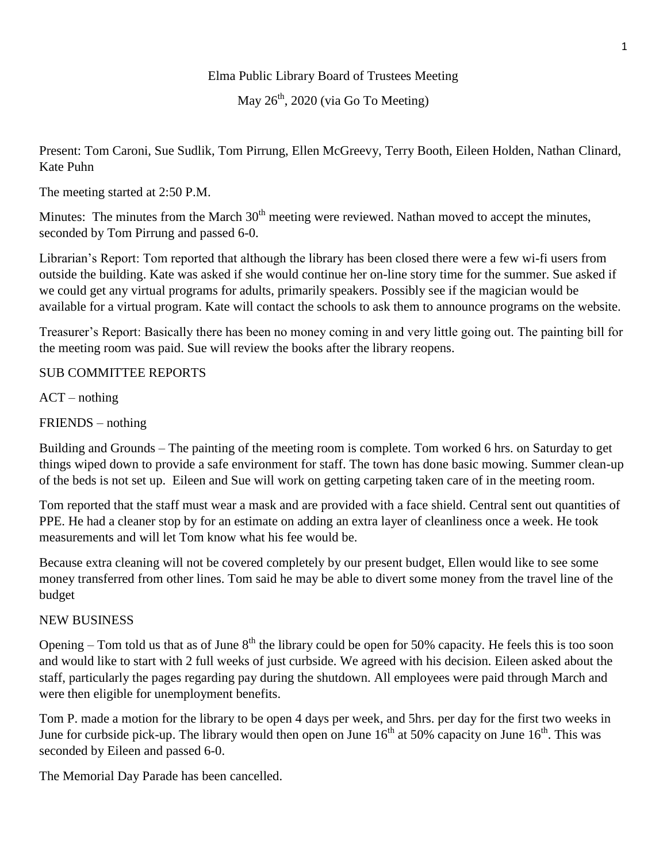## Elma Public Library Board of Trustees Meeting

## May  $26<sup>th</sup>$ , 2020 (via Go To Meeting)

Present: Tom Caroni, Sue Sudlik, Tom Pirrung, Ellen McGreevy, Terry Booth, Eileen Holden, Nathan Clinard, Kate Puhn

The meeting started at 2:50 P.M.

Minutes: The minutes from the March 30<sup>th</sup> meeting were reviewed. Nathan moved to accept the minutes, seconded by Tom Pirrung and passed 6-0.

Librarian's Report: Tom reported that although the library has been closed there were a few wi-fi users from outside the building. Kate was asked if she would continue her on-line story time for the summer. Sue asked if we could get any virtual programs for adults, primarily speakers. Possibly see if the magician would be available for a virtual program. Kate will contact the schools to ask them to announce programs on the website.

Treasurer's Report: Basically there has been no money coming in and very little going out. The painting bill for the meeting room was paid. Sue will review the books after the library reopens.

## SUB COMMITTEE REPORTS

 $ACT - nothing$ 

FRIENDS – nothing

Building and Grounds – The painting of the meeting room is complete. Tom worked 6 hrs. on Saturday to get things wiped down to provide a safe environment for staff. The town has done basic mowing. Summer clean-up of the beds is not set up. Eileen and Sue will work on getting carpeting taken care of in the meeting room.

Tom reported that the staff must wear a mask and are provided with a face shield. Central sent out quantities of PPE. He had a cleaner stop by for an estimate on adding an extra layer of cleanliness once a week. He took measurements and will let Tom know what his fee would be.

Because extra cleaning will not be covered completely by our present budget, Ellen would like to see some money transferred from other lines. Tom said he may be able to divert some money from the travel line of the budget

## NEW BUSINESS

Opening – Tom told us that as of June  $8<sup>th</sup>$  the library could be open for 50% capacity. He feels this is too soon and would like to start with 2 full weeks of just curbside. We agreed with his decision. Eileen asked about the staff, particularly the pages regarding pay during the shutdown. All employees were paid through March and were then eligible for unemployment benefits.

Tom P. made a motion for the library to be open 4 days per week, and 5hrs. per day for the first two weeks in June for curbside pick-up. The library would then open on June  $16<sup>th</sup>$  at 50% capacity on June  $16<sup>th</sup>$ . This was seconded by Eileen and passed 6-0.

The Memorial Day Parade has been cancelled.